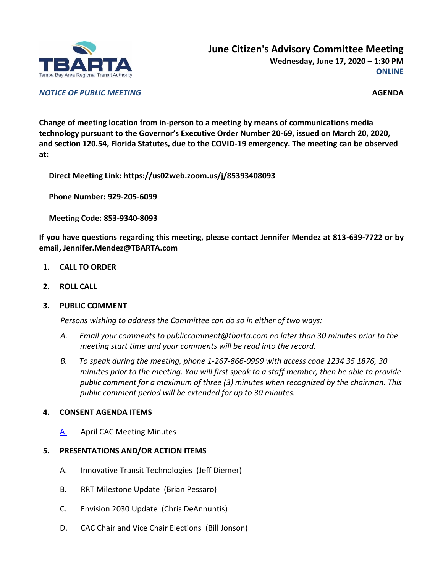

*NOTICE OF PUBLIC MEETING* **AGENDA**

**Change of meeting location from in-person to a meeting by means of communications media technology pursuant to the Governor's Executive Order Number 20-69, issued on March 20, 2020, and section 120.54, Florida Statutes, due to the COVID-19 emergency. The meeting can be observed at:**

**Direct Meeting Link: https://us02web.zoom.us/j/85393408093**

**Phone Number: 929-205-6099**

**Meeting Code: 853-9340-8093**

**If you have questions regarding this meeting, please contact Jennifer Mendez at 813-639-7722 or by email, Jennifer.Mendez@TBARTA.com**

- **1. CALL TO ORDER**
- **2. ROLL CALL**
- **3. PUBLIC COMMENT**

*Persons wishing to address the Committee can do so in either of two ways:*

- *A. Email your comments to publiccomment@tbarta.com no later than 30 minutes prior to the meeting start time and your comments will be read into the record.*
- *B. To speak during the meeting, phone 1-267-866-0999 with access code 1234 35 1876, 30 minutes prior to the meeting. You will first speak to a staff member, then be able to provide public comment for a maximum of three (3) minutes when recognized by the chairman. This public comment period will be extended for up to 30 minutes.*

## **4. CONSENT AGENDA ITEMS**

[A.](#page-2-0) April CAC Meeting Minutes

## **5. PRESENTATIONS AND/OR ACTION ITEMS**

- A. Innovative Transit Technologies (Jeff Diemer)
- B. RRT Milestone Update (Brian Pessaro)
- C. Envision 2030 Update (Chris DeAnnuntis)
- D. CAC Chair and Vice Chair Elections (Bill Jonson)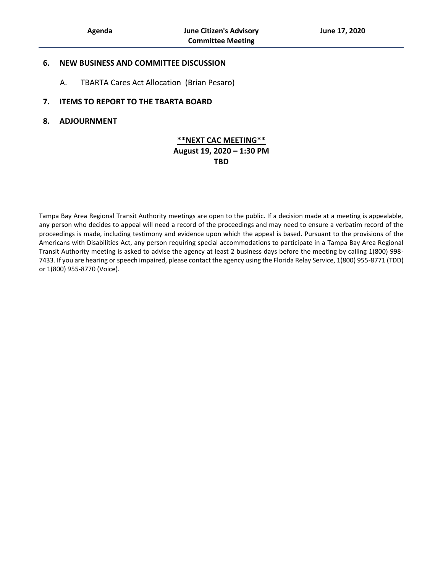#### **6. NEW BUSINESS AND COMMITTEE DISCUSSION**

A. TBARTA Cares Act Allocation (Brian Pesaro)

#### **7. ITEMS TO REPORT TO THE TBARTA BOARD**

#### **8. ADJOURNMENT**

## **\*\*NEXT CAC MEETING\*\* August 19, 2020 – 1:30 PM TBD**

Tampa Bay Area Regional Transit Authority meetings are open to the public. If a decision made at a meeting is appealable, any person who decides to appeal will need a record of the proceedings and may need to ensure a verbatim record of the proceedings is made, including testimony and evidence upon which the appeal is based. Pursuant to the provisions of the Americans with Disabilities Act, any person requiring special accommodations to participate in a Tampa Bay Area Regional Transit Authority meeting is asked to advise the agency at least 2 business days before the meeting by calling 1(800) 998- 7433. If you are hearing or speech impaired, please contact the agency using the Florida Relay Service, 1(800) 955-8771 (TDD) or 1(800) 955-8770 (Voice).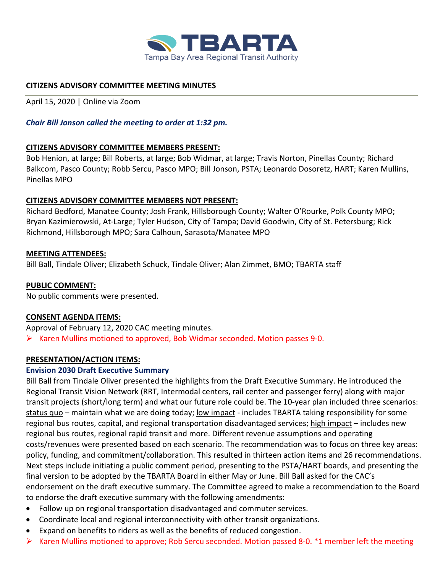

## <span id="page-2-0"></span>**CITIZENS ADVISORY COMMITTEE MEETING MINUTES**

April 15, 2020 | Online via Zoom

## *Chair Bill Jonson called the meeting to order at 1:32 pm.*

## **CITIZENS ADVISORY COMMITTEE MEMBERS PRESENT:**

Bob Henion, at large; Bill Roberts, at large; Bob Widmar, at large; Travis Norton, Pinellas County; Richard Balkcom, Pasco County; Robb Sercu, Pasco MPO; Bill Jonson, PSTA; Leonardo Dosoretz, HART; Karen Mullins, Pinellas MPO

## **CITIZENS ADVISORY COMMITTEE MEMBERS NOT PRESENT:**

Richard Bedford, Manatee County; Josh Frank, Hillsborough County; Walter O'Rourke, Polk County MPO; Bryan Kazimierowski, At-Large; Tyler Hudson, City of Tampa; David Goodwin, City of St. Petersburg; Rick Richmond, Hillsborough MPO; Sara Calhoun, Sarasota/Manatee MPO

## **MEETING ATTENDEES:**

Bill Ball, Tindale Oliver; Elizabeth Schuck, Tindale Oliver; Alan Zimmet, BMO; TBARTA staff

## **PUBLIC COMMENT:**

No public comments were presented.

## **CONSENT AGENDA ITEMS:**

Approval of February 12, 2020 CAC meeting minutes.  $\triangleright$  Karen Mullins motioned to approved, Bob Widmar seconded. Motion passes 9-0.

# **PRESENTATION/ACTION ITEMS:**

## **Envision 2030 Draft Executive Summary**

Bill Ball from Tindale Oliver presented the highlights from the Draft Executive Summary. He introduced the Regional Transit Vision Network (RRT, Intermodal centers, rail center and passenger ferry) along with major transit projects (short/long term) and what our future role could be. The 10-year plan included three scenarios: status quo – maintain what we are doing today; low impact - includes TBARTA taking responsibility for some regional bus routes, capital, and regional transportation disadvantaged services; high impact – includes new regional bus routes, regional rapid transit and more. Different revenue assumptions and operating costs/revenues were presented based on each scenario. The recommendation was to focus on three key areas: policy, funding, and commitment/collaboration. This resulted in thirteen action items and 26 recommendations. Next steps include initiating a public comment period, presenting to the PSTA/HART boards, and presenting the final version to be adopted by the TBARTA Board in either May or June. Bill Ball asked for the CAC's endorsement on the draft executive summary. The Committee agreed to make a recommendation to the Board to endorse the draft executive summary with the following amendments:

- Follow up on regional transportation disadvantaged and commuter services.
- Coordinate local and regional interconnectivity with other transit organizations.
- Expand on benefits to riders as well as the benefits of reduced congestion.
- $\triangleright$  Karen Mullins motioned to approve; Rob Sercu seconded. Motion passed 8-0. \*1 member left the meeting